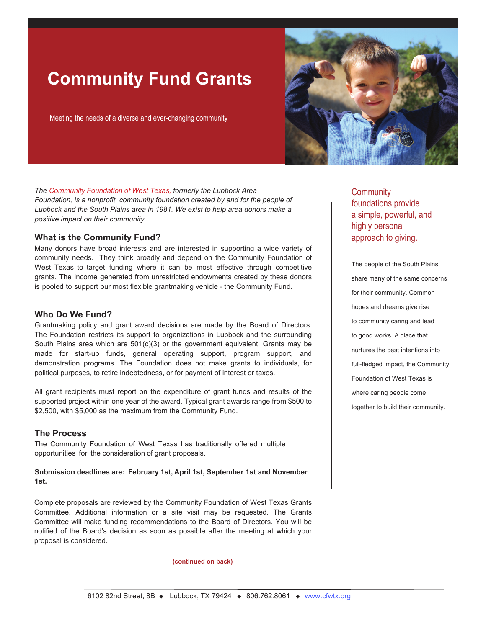# **Community Fund Grants**

Meeting the needs of a diverse and ever-changing community



*The Community Foundation of West Texas, formerly the Lubbock Area Foundation, is a nonprofit, community foundation created by and for the people of Lubbock and the South Plains area in 1981. We exist to help area donors make a positive impact on their community.*

## **What is the Community Fund?**

Many donors have broad interests and are interested in supporting a wide variety of community needs. They think broadly and depend on the Community Foundation of West Texas to target funding where it can be most effective through competitive grants. The income generated from unrestricted endowments created by these donors is pooled to support our most flexible grantmaking vehicle - the Community Fund.

## **Who Do We Fund?**

Grantmaking policy and grant award decisions are made by the Board of Directors. The Foundation restricts its support to organizations in Lubbock and the surrounding South Plains area which are 501(c)(3) or the government equivalent. Grants may be made for start-up funds, general operating support, program support, and demonstration programs. The Foundation does not make grants to individuals, for political purposes, to retire indebtedness, or for payment of interest or taxes.

All grant recipients must report on the expenditure of grant funds and results of the supported project within one year of the award. Typical grant awards range from \$500 to \$2,500, with \$5,000 as the maximum from the Community Fund.

### **The Process**

The Community Foundation of West Texas has traditionally offered multiple opportunities for the consideration of grant proposals.

#### **Submission deadlines are: February 1st, April 1st, September 1st and November 1st.**

Complete proposals are reviewed by the Community Foundation of West Texas Grants Committee. Additional information or a site visit may be requested. The Grants Committee will make funding recommendations to the Board of Directors. You will be notified of the Board's decision as soon as possible after the meeting at which your proposal is considered.

#### **(continued on back)**

**Community** foundations provide a simple, powerful, and highly personal approach to giving.

The people of the South Plains share many of the same concerns for their community. Common hopes and dreams give rise to community caring and lead to good works. A place that nurtures the best intentions into full-fledged impact, the Community Foundation of West Texas is where caring people come together to build their community.